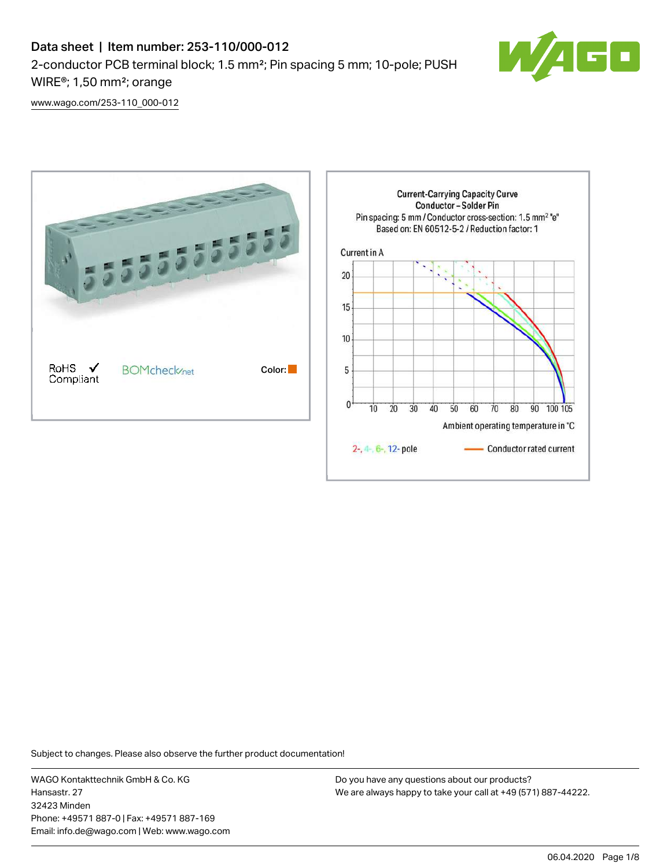

[www.wago.com/253-110\\_000-012](http://www.wago.com/253-110_000-012)



Subject to changes. Please also observe the further product documentation!

WAGO Kontakttechnik GmbH & Co. KG Hansastr. 27 32423 Minden Phone: +49571 887-0 | Fax: +49571 887-169 Email: info.de@wago.com | Web: www.wago.com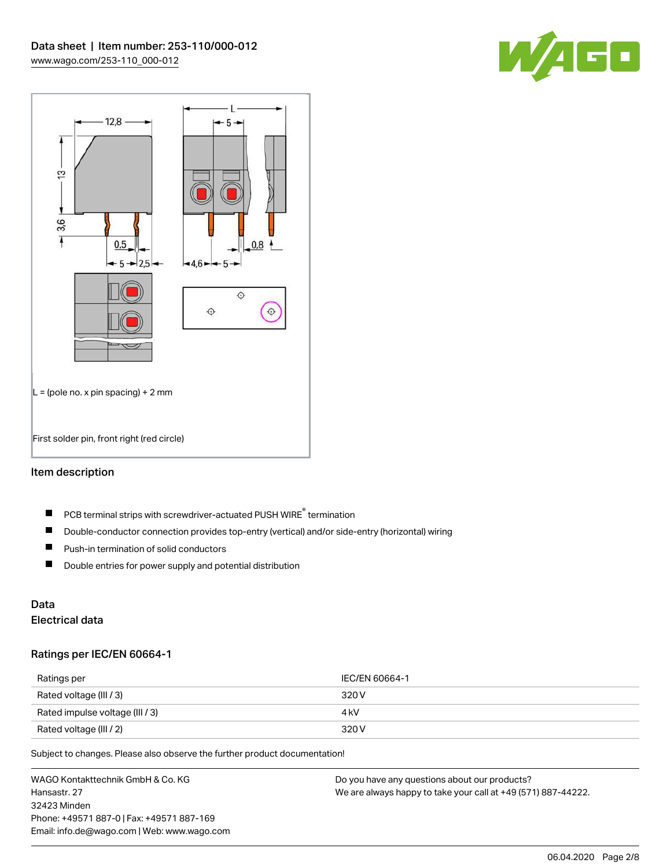



### Item description

- PCB terminal strips with screwdriver-actuated PUSH WIRE® termination  $\blacksquare$
- $\blacksquare$ Double-conductor connection provides top-entry (vertical) and/or side-entry (horizontal) wiring
- $\blacksquare$ Push-in termination of solid conductors
- $\blacksquare$ Double entries for power supply and potential distribution

# Data

## Electrical data

### Ratings per IEC/EN 60664-1

| Ratings per                     | IEC/EN 60664-1 |
|---------------------------------|----------------|
| Rated voltage (III / 3)         | 320 V          |
| Rated impulse voltage (III / 3) | 4 kV           |
| Rated voltage (III / 2)         | 320 V          |

Subject to changes. Please also observe the further product documentation!

WAGO Kontakttechnik GmbH & Co. KG Hansastr. 27 32423 Minden Phone: +49571 887-0 | Fax: +49571 887-169 Email: info.de@wago.com | Web: www.wago.com Do you have any questions about our products? We are always happy to take your call at +49 (571) 887-44222.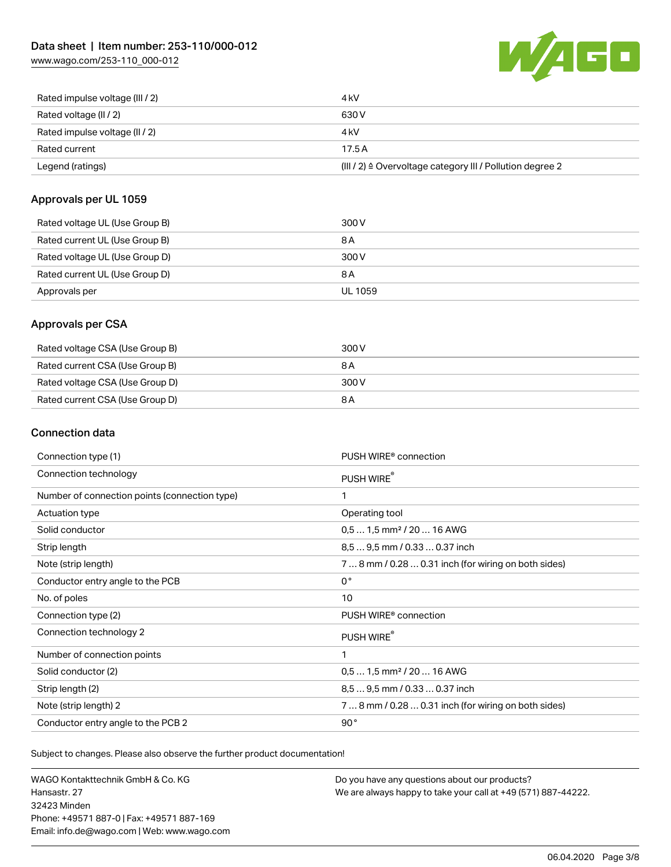[www.wago.com/253-110\\_000-012](http://www.wago.com/253-110_000-012)



| Rated impulse voltage (III / 2) | 4 <sub>k</sub> V                                          |
|---------------------------------|-----------------------------------------------------------|
| Rated voltage (II / 2)          | 630 V                                                     |
| Rated impulse voltage (II / 2)  | 4 kV                                                      |
| Rated current                   | 17.5A                                                     |
| Legend (ratings)                | (III / 2) ≙ Overvoltage category III / Pollution degree 2 |

### Approvals per UL 1059

| Rated voltage UL (Use Group B) | 300 V          |
|--------------------------------|----------------|
| Rated current UL (Use Group B) | 8 A            |
| Rated voltage UL (Use Group D) | 300 V          |
| Rated current UL (Use Group D) | 8 A            |
| Approvals per                  | <b>UL 1059</b> |

### Approvals per CSA

| Rated voltage CSA (Use Group B) | 300 V |
|---------------------------------|-------|
| Rated current CSA (Use Group B) | 8 A   |
| Rated voltage CSA (Use Group D) | 300 V |
| Rated current CSA (Use Group D) | 8 A   |

### Connection data

| Connection type (1)                           | PUSH WIRE <sup>®</sup> connection                    |
|-----------------------------------------------|------------------------------------------------------|
| Connection technology                         | PUSH WIRE®                                           |
| Number of connection points (connection type) | 1                                                    |
| <b>Actuation type</b>                         | Operating tool                                       |
| Solid conductor                               | $0.51.5$ mm <sup>2</sup> / 20  16 AWG                |
| Strip length                                  | 8.5  9.5 mm / 0.33  0.37 inch                        |
| Note (strip length)                           | 7  8 mm / 0.28  0.31 inch (for wiring on both sides) |
| Conductor entry angle to the PCB              | $0^{\circ}$                                          |
| No. of poles                                  | 10                                                   |
| Connection type (2)                           | PUSH WIRE <sup>®</sup> connection                    |
| Connection technology 2                       | PUSH WIRE®                                           |
| Number of connection points                   | 1                                                    |
| Solid conductor (2)                           | $0.51.5$ mm <sup>2</sup> / 20  16 AWG                |
| Strip length (2)                              | 8,5  9,5 mm / 0.33  0.37 inch                        |
| Note (strip length) 2                         | 7  8 mm / 0.28  0.31 inch (for wiring on both sides) |
| Conductor entry angle to the PCB 2            | 90°                                                  |

Subject to changes. Please also observe the further product documentation!

WAGO Kontakttechnik GmbH & Co. KG Hansastr. 27 32423 Minden Phone: +49571 887-0 | Fax: +49571 887-169 Email: info.de@wago.com | Web: www.wago.com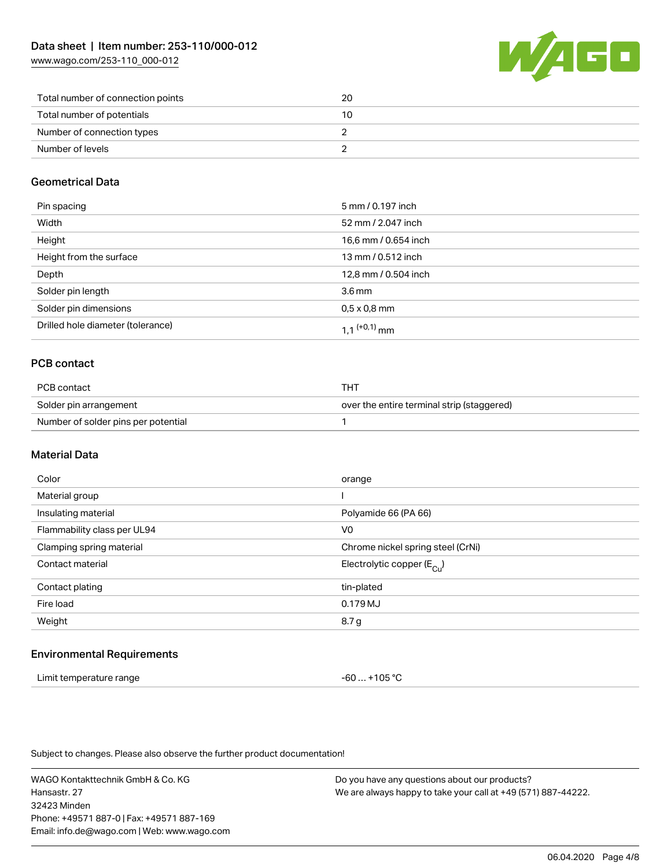[www.wago.com/253-110\\_000-012](http://www.wago.com/253-110_000-012)



| Total number of connection points | 20 |
|-----------------------------------|----|
| Total number of potentials        | 10 |
| Number of connection types        |    |
| Number of levels                  |    |

### Geometrical Data

| Pin spacing                       | 5 mm / 0.197 inch        |
|-----------------------------------|--------------------------|
| Width                             | 52 mm / 2.047 inch       |
| Height                            | 16,6 mm / 0.654 inch     |
| Height from the surface           | 13 mm / 0.512 inch       |
| Depth                             | 12,8 mm / 0.504 inch     |
| Solder pin length                 | 3.6 <sub>mm</sub>        |
| Solder pin dimensions             | $0.5 \times 0.8$ mm      |
| Drilled hole diameter (tolerance) | 1 1 <sup>(+0,1)</sup> mm |

### PCB contact

| PCB contact                         | THT                                        |
|-------------------------------------|--------------------------------------------|
| Solder pin arrangement              | over the entire terminal strip (staggered) |
| Number of solder pins per potential |                                            |

### Material Data

| Color                       | orange                                |
|-----------------------------|---------------------------------------|
| Material group              |                                       |
| Insulating material         | Polyamide 66 (PA 66)                  |
| Flammability class per UL94 | V <sub>0</sub>                        |
| Clamping spring material    | Chrome nickel spring steel (CrNi)     |
| Contact material            | Electrolytic copper $(E_{\text{Cl}})$ |
| Contact plating             | tin-plated                            |
| Fire load                   | 0.179 MJ                              |
| Weight                      | 8.7 g                                 |
|                             |                                       |

### Environmental Requirements

| Limit temperature range | -60  +105 °C |
|-------------------------|--------------|
|-------------------------|--------------|

Subject to changes. Please also observe the further product documentation!

WAGO Kontakttechnik GmbH & Co. KG Hansastr. 27 32423 Minden Phone: +49571 887-0 | Fax: +49571 887-169 Email: info.de@wago.com | Web: www.wago.com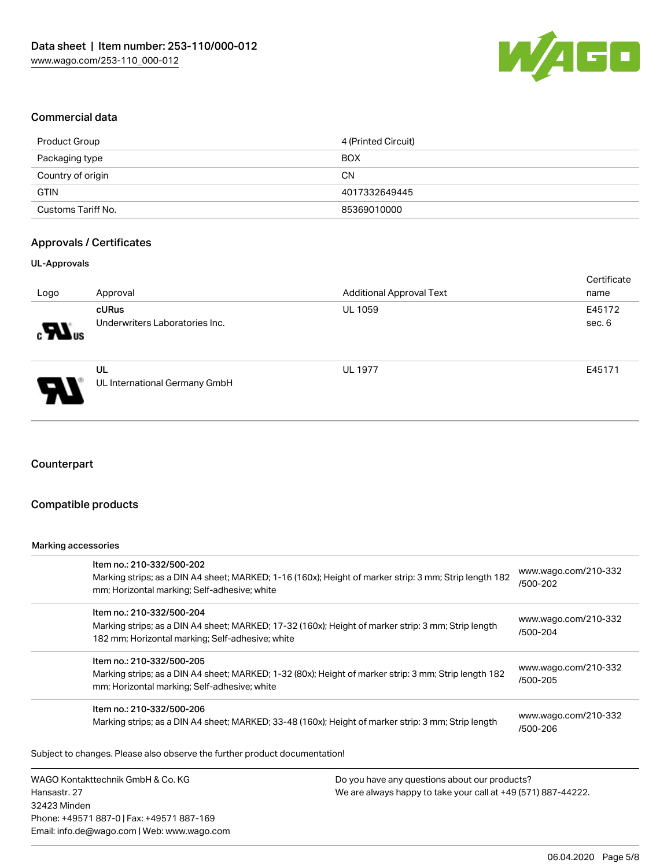

### Commercial data

| Product Group      | 4 (Printed Circuit) |
|--------------------|---------------------|
| Packaging type     | <b>BOX</b>          |
| Country of origin  | CΝ                  |
| <b>GTIN</b>        | 4017332649445       |
| Customs Tariff No. | 85369010000         |

### Approvals / Certificates

#### UL-Approvals

|                            |                                     |                                 | Certificate |
|----------------------------|-------------------------------------|---------------------------------|-------------|
| Logo                       | Approval                            | <b>Additional Approval Text</b> | name        |
|                            | cURus                               | <b>UL 1059</b>                  | E45172      |
| $\blacksquare$             | Underwriters Laboratories Inc.      |                                 | sec. 6      |
| $\boldsymbol{\mathcal{A}}$ | UL<br>UL International Germany GmbH | <b>UL 1977</b>                  | E45171      |

### **Counterpart**

### Compatible products

#### Marking accessories

Hansastr. 27

| Item no.: 210-332/500-202<br>Marking strips; as a DIN A4 sheet; MARKED; 1-16 (160x); Height of marker strip: 3 mm; Strip length 182<br>mm; Horizontal marking; Self-adhesive; white  |                                               | www.wago.com/210-332<br>/500-202 |  |  |
|--------------------------------------------------------------------------------------------------------------------------------------------------------------------------------------|-----------------------------------------------|----------------------------------|--|--|
| Item no.: 210-332/500-204<br>Marking strips; as a DIN A4 sheet; MARKED; 17-32 (160x); Height of marker strip: 3 mm; Strip length<br>182 mm; Horizontal marking; Self-adhesive; white |                                               | www.wago.com/210-332<br>/500-204 |  |  |
| Item no.: 210-332/500-205<br>Marking strips; as a DIN A4 sheet; MARKED; 1-32 (80x); Height of marker strip: 3 mm; Strip length 182<br>mm; Horizontal marking; Self-adhesive; white   |                                               | www.wago.com/210-332<br>/500-205 |  |  |
| Item no.: 210-332/500-206<br>Marking strips; as a DIN A4 sheet; MARKED; 33-48 (160x); Height of marker strip: 3 mm; Strip length                                                     |                                               | www.wago.com/210-332<br>/500-206 |  |  |
| Subject to changes. Please also observe the further product documentation!                                                                                                           |                                               |                                  |  |  |
| WAGO Kontakttechnik GmbH & Co. KG                                                                                                                                                    | Do you have any questions about our products? |                                  |  |  |

32423 Minden Phone: +49571 887-0 | Fax: +49571 887-169 Email: info.de@wago.com | Web: www.wago.com We are always happy to take your call at +49 (571) 887-44222.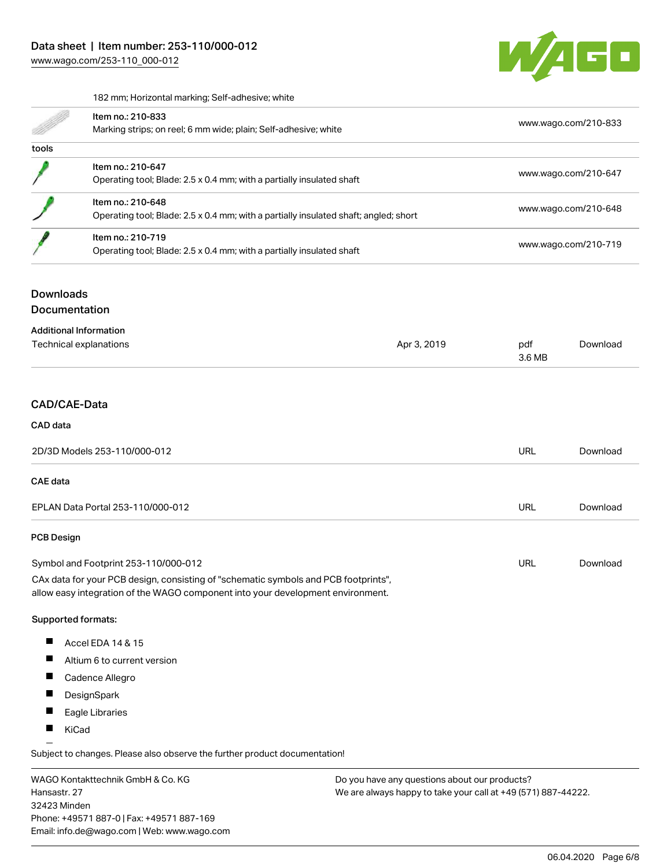

182 mm; Horizontal marking; Self-adhesive; white

|       | Item no.: 210-833<br>Marking strips; on reel; 6 mm wide; plain; Self-adhesive; white                      | www.wago.com/210-833 |
|-------|-----------------------------------------------------------------------------------------------------------|----------------------|
| tools |                                                                                                           |                      |
|       | Item no.: 210-647<br>Operating tool; Blade: 2.5 x 0.4 mm; with a partially insulated shaft                | www.wago.com/210-647 |
|       | Item no.: 210-648<br>Operating tool; Blade: 2.5 x 0.4 mm; with a partially insulated shaft; angled; short | www.wago.com/210-648 |
|       | Item no.: 210-719<br>Operating tool; Blade: 2.5 x 0.4 mm; with a partially insulated shaft                | www.wago.com/210-719 |

### Downloads

Documentation

| <b>Additional Information</b><br>Technical explanations | Apr 3, 2019 | pdf<br>3.6 MB | Download |
|---------------------------------------------------------|-------------|---------------|----------|
| CAD/CAE-Data                                            |             |               |          |

# CAD data

| 2D/3D Models 253-110/000-012                                                        | URL | Download |
|-------------------------------------------------------------------------------------|-----|----------|
| <b>CAE</b> data                                                                     |     |          |
| EPLAN Data Portal 253-110/000-012                                                   | URL | Download |
| <b>PCB Design</b>                                                                   |     |          |
| Symbol and Footprint 253-110/000-012                                                | URL | Download |
| CAx data for your PCB design, consisting of "schematic symbols and PCB footprints", |     |          |

allow easy integration of the WAGO component into your development environment.

#### Supported formats:

- $\blacksquare$ Accel EDA 14 & 15
- $\blacksquare$ Altium 6 to current version
- $\blacksquare$ Cadence Allegro
- $\blacksquare$ **DesignSpark**
- $\blacksquare$ Eagle Libraries
- $\blacksquare$ KiCad

Subject to changes. Please also observe the further product documentation!

WAGO Kontakttechnik GmbH & Co. KG Hansastr. 27 32423 Minden Phone: +49571 887-0 | Fax: +49571 887-169 Email: info.de@wago.com | Web: www.wago.com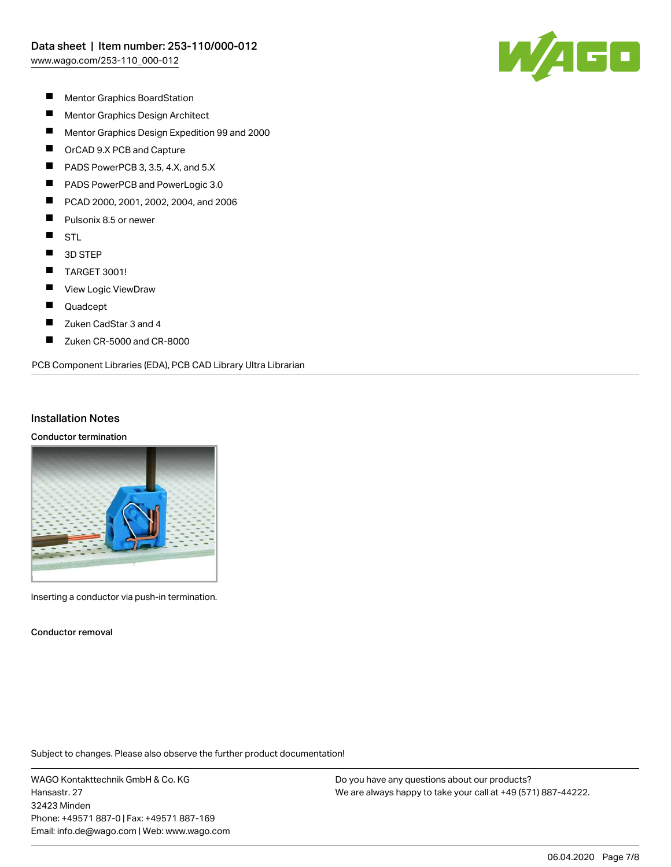

- $\blacksquare$ Mentor Graphics BoardStation
- $\blacksquare$ Mentor Graphics Design Architect
- $\blacksquare$ Mentor Graphics Design Expedition 99 and 2000
- $\blacksquare$ OrCAD 9.X PCB and Capture
- П PADS PowerPCB 3, 3.5, 4.X, and 5.X
- П PADS PowerPCB and PowerLogic 3.0
- П PCAD 2000, 2001, 2002, 2004, and 2006
- $\blacksquare$ Pulsonix 8.5 or newer
- $\blacksquare$ **STL**
- $\blacksquare$ 3D STEP
- $\blacksquare$ TARGET 3001!
- П View Logic ViewDraw
- $\blacksquare$ Quadcept
- $\blacksquare$ Zuken CadStar 3 and 4
- П Zuken CR-5000 and CR-8000

#### PCB Component Libraries (EDA), PCB CAD Library Ultra Librarian

#### Installation Notes

#### Conductor termination



Inserting a conductor via push-in termination.

Conductor removal

Subject to changes. Please also observe the further product documentation!

WAGO Kontakttechnik GmbH & Co. KG Hansastr. 27 32423 Minden Phone: +49571 887-0 | Fax: +49571 887-169 Email: info.de@wago.com | Web: www.wago.com